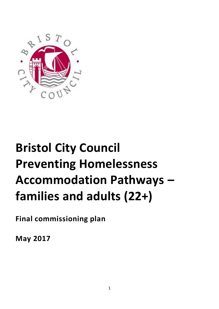

# **Bristol City Council Preventing Homelessness Accommodation Pathways – families and adults (22+)**

**Final commissioning plan**

**May 2017**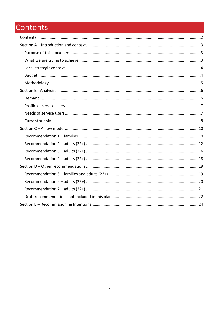# <span id="page-1-0"></span>Contents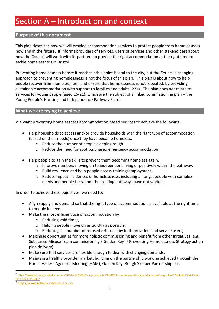# <span id="page-2-0"></span>Section A – Introduction and context

#### <span id="page-2-1"></span>**Purpose of this document**

This plan describes how we will provide accommodation services to protect people from homelessness now and in the future. It informs providers of services, users of services and other stakeholders about how the Council will work with its partners to provide the right accommodation at the right time to tackle homelessness in Bristol.

Preventing homelessness before it reaches crisis point is vital to the city, but the Council's changing approach to preventing homelessness is not the focus of this plan. This plan is about how to help people recover from homelessness, and ensure that homelessness is not repeated, by providing sustainable accommodation with support to families and adults (22+). The plan does not relate to services for young people (aged 16-21), which are the subject of a linked commissioning plan – the Young People's Housing and Independence Pathway Plan.<sup>1</sup>

#### <span id="page-2-2"></span>**What we are trying to achieve**

We want preventing homelessness accommodation based services to achieve the following:

- Help households to access and/or provide households with the right type of accommodation (based on their needs) once they have become homeless.
	- o Reduce the number of people sleeping rough.
	- o Reduce the need for spot purchased emergency accommodation.
- Help people to gain the skills to prevent them becoming homeless again.
	- $\circ$  Improve numbers moving on to independent living or positively within the pathway.
	- o Build resilience and help people access training/employment.
	- o Reduce repeat incidences of homelessness, including amongst people with complex needs and people for whom the existing pathways have not worked.

In order to achieve these objectives, we need to:

- Align supply and demand so that the right type of accommodation is available at the right time to people in need.
- Make the most efficient use of accommodation by:
	- o Reducing void times;
	- o Helping people move on as quickly as possible;
	- o Reducing the number of refused referrals (by both providers and service users).
- Maximise opportunities for more holistic commissioning and benefit from other initiatives (e.g. Substance Misuse Team commissioning / Golden Key<sup>2</sup> / Preventing Homelessness Strategy action plan delivery).
- Make sure that services are flexible enough to deal with changing demands.
- Maintain a healthy provider market, building on the partnership working achieved through the Homelessness Agencies Meeting (HAM), Golden Key, Rough Sleeper Partnership etc.

 $\overline{a}$ 

<sup>1</sup> [https://www.bristol.gov.uk/documents/20182/977086/Young+people%E2%80%99s+housing+and+independence+pathway+plan/12bbfbaf-23dd-4586](https://www.bristol.gov.uk/documents/20182/977086/Young+people%E2%80%99s+housing+and+independence+pathway+plan/12bbfbaf-23dd-4586-bf11-5029b956d132) [bf11-5029b956d132](https://www.bristol.gov.uk/documents/20182/977086/Young+people%E2%80%99s+housing+and+independence+pathway+plan/12bbfbaf-23dd-4586-bf11-5029b956d132) 2

<http://www.goldenkeybristol.org.uk/>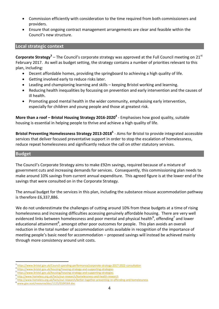- Commission efficiently with consideration to the time required from both commissioners and providers.
- Ensure that ongoing contract management arrangements are clear and feasible within the Council's new structure.

#### <span id="page-3-0"></span>**Local strategic context**

**Corporate Strategy<sup>3</sup> –** The Council's corporate strategy was approved at the Full Council meeting on 21<sup>st</sup> February 2017. As well as budget setting, the strategy contains a number of priorities relevant to this plan, including:

- Decent affordable homes, providing the springboard to achieving a high quality of life.
- Getting involved early to reduce risks later.
- Leading and championing learning and skills keeping Bristol working and learning.
- Reducing health inequalities by focussing on prevention and early intervention and the causes of ill health.
- Promoting good mental health in the wider community, emphasising early intervention, especially for children and young people and those at greatest risk.

**More than a roof – Bristol Housing Strategy 2016-2020<sup>4</sup>** - Emphasises how good quality, suitable housing is essential in helping people to thrive and achieve a high quality of life.

**Bristol Preventing Homelessness Strategy 2013-2018<sup>5</sup>** - Aims for Bristol to provide integrated accessible services that deliver focused preventative support in order to stop the escalation of homelessness, reduce repeat homelessness and significantly reduce the call on other statutory services.

#### <span id="page-3-1"></span>**Budget**

The Council's Corporate Strategy aims to make £92m savings, required because of a mixture of government cuts and increasing demands for services. Consequently, this commissioning plan needs to make around 10% savings from current annual expenditure. This agreed figure is at the lower end of the savings that were consulted on in the Corporate Strategy.

The annual budget for the services in this plan, including the substance misuse accommodation pathway is therefore £6,337,886.

We do not underestimate the challenges of cutting around 10% from these budgets at a time of rising homelessness and increasing difficulties accessing genuinely affordable housing. There are very well evidenced links between homelessness and poor mental and physical health<sup>6</sup>, offending<sup>7</sup> and lower educational attainment<sup>8</sup>, amongst other poor outcomes for people. This plan avoids an overall reduction in the total number of accommodation units available in recognition of the importance of meeting people's basic need for accommodation – proposed savings will instead be achieved mainly through more consistency around unit costs.

 $\overline{a}$ <sup>3</sup> [https://www.bristol.gov.uk/Council-spending-performance/corporate-strategy-2017-2022-consultation](https://www.bristol.gov.uk/council-spending-performance/corporate-strategy-2017-2022-consultation)

<sup>4</sup> <https://www.bristol.gov.uk/housing/housing-strategy-and-supporting-strategies>

<sup>5</sup> <https://www.bristol.gov.uk/housing/housing-strategy-and-supporting-strategies>

<sup>6</sup> <http://www.homeless.org.uk/facts/our-research/homelessness-and-health-research>

<sup>7</sup> <http://www.homeless.org.uk/facts/our-research/better-together-preventing-re-offending-and-homelessness>

[www.gov.scot/resource/doc/1125/0104564.doc](http://www.gov.scot/resource/doc/1125/0104564.doc)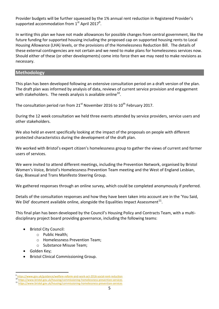Provider budgets will be further squeezed by the 1% annual rent reduction in Registered Provider's supported accommodation from  $1^{\text{st}}$  April 2017 $^9$ .

In writing this plan we have not made allowances for possible changes from central government, like the future funding for supported housing including the proposed cap on supported housing rents to Local Housing Allowance (LHA) levels, or the provisions of the Homelessness Reduction Bill. The details of these external contingencies are not certain and we need to make plans for homelessness services now. Should either of these (or other developments) come into force then we may need to make revisions as necessary.

#### <span id="page-4-0"></span>**Methodology**

This plan has been developed following an extensive consultation period on a draft version of the plan. The draft plan was informed by analysis of data, reviews of current service provision and engagement with stakeholders. The needs analysis is available online<sup>10</sup>.

The consultation period ran from  $21^{st}$  November 2016 to  $10^{th}$  February 2017.

During the 12 week consultation we held three events attended by service providers, service users and other stakeholders.

We also held an event specifically looking at the impact of the proposals on people with different protected characteristics during the development of the draft plan.

We worked with Bristol's expert citizen's homelessness group to gather the views of current and former users of services.

We were invited to attend different meetings, including the Prevention Network, organised by Bristol Women's Voice, Bristol's Homelessness Prevention Team meeting and the West of England Lesbian, Gay, Bisexual and Trans Manifesto Steering Group.

We gathered responses through an online survey, which could be completed anonymously if preferred.

Details of the consultation responses and how they have been taken into account are in the 'You Said, We Did' document available online, alongside the Equalities Impact Assessment $^{11}$ .

This final plan has been developed by the Council's Housing Policy and Contracts Team, with a multidisciplinary project board providing governance, including the following teams:

- Bristol City Council:
	- o Public Health;
	- o Homelessness Prevention Team;
	- o Substance Misuse Team;
- Golden Key;

 $\overline{a}$ 

Bristol Clinical Commissioning Group.

<sup>9</sup> <https://www.gov.uk/guidance/welfare-reform-and-work-act-2016-social-rent-reduction> <https://www.bristol.gov.uk/housing/commissioning-homelessness-prevention-services>

<sup>11</sup> <https://www.bristol.gov.uk/housing/commissioning-homelessness-prevention-services>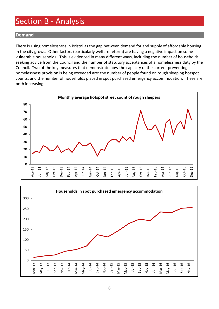## <span id="page-5-0"></span>Section B - Analysis

#### <span id="page-5-1"></span>**Demand**

There is rising homelessness in Bristol as the gap between demand for and supply of affordable housing in the city grows. Other factors (particularly welfare reform) are having a negative impact on some vulnerable households. This is evidenced in many different ways, including the number of households seeking advice from the Council and the number of statutory acceptances of a homelessness duty by the Council. Two of the key measures that demonstrate how the capacity of the current preventing homelessness provision is being exceeded are: the number of people found on rough sleeping hotspot counts; and the number of households placed in spot purchased emergency accommodation. These are both increasing:



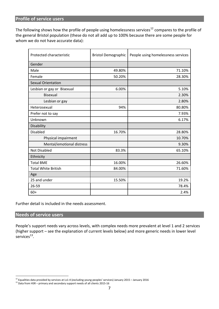#### <span id="page-6-0"></span>**Profile of service users**

The following shows how the profile of people using homelessness services<sup>12</sup> compares to the profile of the general Bristol population (these do not all add up to 100% because there are some people for whom we do not have accurate data):

| Protected characteristic   | <b>Bristol Demographic</b> | People using homelessness services |
|----------------------------|----------------------------|------------------------------------|
| Gender                     |                            |                                    |
| Male                       | 49.80%                     | 71.10%                             |
| Female                     | 50.20%                     | 28.30%                             |
| <b>Sexual Orientation</b>  |                            |                                    |
| Lesbian or gay or Bisexual | 6.00%                      | 5.10%                              |
| Bisexual                   |                            | 2.30%                              |
| Lesbian or gay             |                            | 2.80%                              |
| Heterosexual               | 94%                        | 80.80%                             |
| Prefer not to say          |                            | 7.93%                              |
| Unknown                    |                            | 6.17%                              |
| Disability                 |                            |                                    |
| <b>Disabled</b>            | 16.70%                     | 28.80%                             |
| Physical impairment        |                            | 10.70%                             |
| Mental/emotional distress  |                            | 9.30%                              |
| <b>Not Disabled</b>        | 83.3%                      | 65.10%                             |
| Ethnicity                  |                            |                                    |
| <b>Total BME</b>           | 16.00%                     | 26.60%                             |
| <b>Total White British</b> | 84.00%                     | 71.60%                             |
| Age                        |                            |                                    |
| 25 and under               | 15.50%                     | 19.2%                              |
| 26-59                      |                            | 78.4%                              |
| $60+$                      |                            | 2.4%                               |

Further detail is included in the needs assessment.

#### <span id="page-6-1"></span>**Needs of service users**

 $\overline{a}$ 

People's support needs vary across levels, with complex needs more prevalent at level 1 and 2 services (higher support – see the explanation of current levels below) and more generic needs in lower level services $^{13}$ .

<sup>12</sup> Equalities data provided by services at Ls1-4 (excluding young peoples' services) January 2015 – January 2016

<sup>&</sup>lt;sup>13</sup> Data from HSR – primary and secondary support needs of all clients 2015-16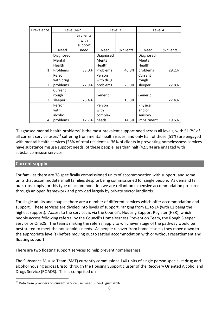| Prevalence     |               | Level 1&2 |               | Level 3   |            | Level 4   |
|----------------|---------------|-----------|---------------|-----------|------------|-----------|
|                |               | % clients |               |           |            |           |
|                |               | with      |               |           |            |           |
|                |               | support   |               |           |            |           |
|                | Need          | need      | <b>Need</b>   | % clients | Need       | % clients |
|                | Diagnosed     |           | Diagnosed     |           | Diagnosed  |           |
|                | Mental        |           | Mental        |           | Mental     |           |
|                | <b>Health</b> |           | <b>Health</b> |           | Health     |           |
| 1              | Problems      | 33.0%     | Problems      | 40.8%     | problems   | 29.2%     |
|                | Person        |           | Person        |           | Current    |           |
|                | with drug     |           | with drug     |           | rough      |           |
| $\overline{2}$ | problems      | 27.9%     | problems      | 25.0%     | sleeper    | 22.8%     |
|                | Current       |           |               |           |            |           |
|                | rough         |           | Generic       |           | Generic    |           |
| 3              | sleeper       | 23.4%     |               | 15.8%     |            | 22.4%     |
|                | Person        |           | Person        |           | Physical   |           |
|                | with          |           | with          |           | and or     |           |
|                | alcohol       |           | complex       |           | sensory    |           |
| 4              | problems      | 17.7%     | needs         | 14.5%     | impairment | 19.6%     |

'Diagnosed mental health problems' is the most prevalent support need across all levels, with 51.7% of all current service users<sup>14</sup> suffering from mental health issues, and only half of those (51%) are engaged with mental health services (26% of total residents). 36% of clients in preventing homelessness services have substance misuse support needs, of these people less than half (42.5%) are engaged with substance misuse services.

#### <span id="page-7-0"></span>**Current supply**

For families there are 78 specifically commissioned units of accommodation with support, and some units that accommodate small families despite being commissioned for single people. As demand far outstrips supply for this type of accommodation we are reliant on expensive accommodation procured through an open framework and provided largely by private sector landlords.

For single adults and couples there are a number of different services which offer accommodation and support. These services are divided into levels of support, ranging from L1 to L4 (with L1 being the highest support). Access to the services is via the Council's Housing Support Register (HSR), which people access following referral by the Council's Homelessness Prevention Team, the Rough Sleeper Service or One25. The teams making the referral apply to whichever stage of the pathway would be best suited to meet the household's needs. As people recover from homelessness they move down to the appropriate level(s) before moving out to settled accommodation with or without resettlement and floating support.

There are two floating support services to help prevent homelessness.

The Substance Misuse Team (SMT) currently commissions 140 units of single person specialist drug and alcohol housing across Bristol through the Housing Support cluster of the Recovery Oriented Alcohol and Drugs Service (ROADS). This is comprised of:

 $\overline{a}$ <sup>14</sup> Data from providers on current service user need June-August 2016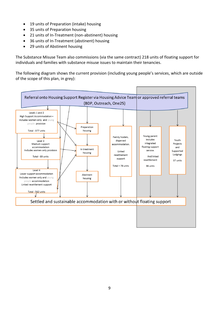- 19 units of Preparation (intake) housing
- 35 units of Preparation housing
- 21 units of In-Treatment (non-abstinent) housing
- 36 units of In-Treatment (abstinent) housing
- 29 units of Abstinent housing

The Substance Misuse Team also commissions (via the same contract) 218 units of floating support for individuals and families with substance misuse issues to maintain their tenancies.

The following diagram shows the current provision (including young people's services, which are outside of the scope of this plan, in grey):

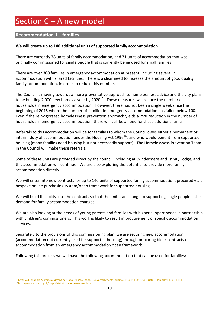# <span id="page-9-0"></span>Section C - A new model

#### <span id="page-9-1"></span>**Recommendation 1 – families**

#### **We will create up to 100 additional units of supported family accommodation**

There are currently 78 units of family accommodation, and 71 units of accommodation that was originally commissioned for single people that is currently being used for small families.

There are over 300 families in emergency accommodation at present, including several in accommodation with shared facilities. There is a clear need to increase the amount of good quality family accommodation, in order to reduce this number.

The Council is moving towards a more preventative approach to homelessness advice and the city plans to be building 2,000 new homes a year by 2020<sup>15</sup>. These measures will reduce the number of households in emergency accommodation. However, there has not been a single week since the beginning of 2015 where the number of families in emergency accommodation has fallen below 100. Even if the reinvigorated homelessness prevention approach yields a 25% reduction in the number of households in emergency accommodation, there will still be a need for these additional units.

Referrals to this accommodation will be for families to whom the Council owes either a permanent or interim duty of accommodation under the Housing Act 1996 $^{16}$ , and who would benefit from supported housing (many families need housing but not necessarily support). The Homelessness Prevention Team in the Council will make these referrals.

Some of these units are provided direct by the council, including at Windermere and Trinity Lodge, and this accommodation will continue. We are also exploring the potential to provide more family accommodation directly.

We will enter into new contracts for up to 140 units of supported family accommodation, procured via a bespoke online purchasing system/open framework for supported housing.

We will build flexibility into the contracts so that the units can change to supporting single people if the demand for family accommodation changes.

We are also looking at the needs of young parents and families with higher support needs in partnership with children's commissioners. This work is likely to result in procurement of specific accommodation services.

Separately to the provisions of this commissioning plan, we are securing new accommodation (accommodation not currently used for supported housing) through procuring block contracts of accommodation from an emergency accommodation open framework.

Following this process we will have the following accommodation that can be used for families:

 $\overline{a}$ 

<sup>15</sup> [https://d3n8a8pro7vhmx.cloudfront.net/labourclp407/pages/233/attachments/original/1460111184/Our\\_Bristol\\_Plan.pdf?1460111184](https://d3n8a8pro7vhmx.cloudfront.net/labourclp407/pages/233/attachments/original/1460111184/Our_Bristol_Plan.pdf?1460111184)

<sup>16</sup> <http://www.crisis.org.uk/pages/statutory-homelessness.html>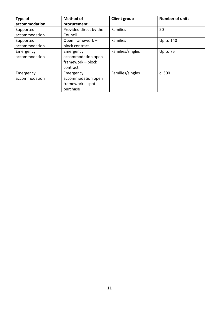| Type of       | <b>Method of</b>       | <b>Client group</b> | <b>Number of units</b> |
|---------------|------------------------|---------------------|------------------------|
| accommodation | procurement            |                     |                        |
| Supported     | Provided direct by the | <b>Families</b>     | 50                     |
| accommodation | Council                |                     |                        |
| Supported     | Open framework -       | <b>Families</b>     | Up to 140              |
| accommodation | block contract         |                     |                        |
| Emergency     | Emergency              | Families/singles    | Up to 75               |
| accommodation | accommodation open     |                     |                        |
|               | framework - block      |                     |                        |
|               | contract               |                     |                        |
| Emergency     | Emergency              | Families/singles    | c. 300                 |
| accommodation | accommodation open     |                     |                        |
|               | framework - spot       |                     |                        |
|               | purchase               |                     |                        |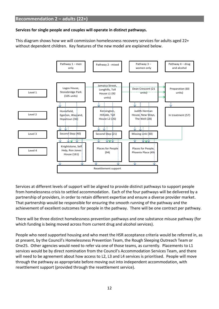#### <span id="page-11-0"></span>**Services for single people and couples will operate in distinct pathways.**

This diagram shows how we will commission homelessness recovery services for adults aged 22+ without dependent children. Key features of the new model are explained below.



Services at different levels of support will be aligned to provide distinct pathways to support people from homelessness crisis to settled accommodation. Each of the four pathways will be delivered by a partnership of providers, in order to retain different expertise and ensure a diverse provider market. That partnership would be responsible for ensuring the smooth running of the pathway and the achievement of excellent outcomes for people in the pathway. There will be one contract per pathway.

There will be three distinct homelessness prevention pathways and one substance misuse pathway (for which funding is being moved across from current drug and alcohol services).

People who need supported housing and who meet the HSR acceptance criteria would be referred in, as at present, by the Council's Homelessness Prevention Team, the Rough Sleeping Outreach Team or One25. Other agencies would need to refer via one of those teams, as currently. Placements to L1 services would be by direct nomination from the Council's Accommodation Services Team, and there will need to be agreement about how access to L2, L3 and L4 services is prioritised. People will move through the pathway as appropriate before moving out into independent accommodation, with resettlement support (provided through the resettlement service).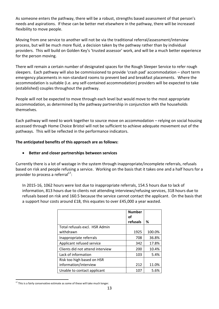As someone enters the pathway, there will be a robust, strengths based assessment of that person's needs and aspirations. If these can be better met elsewhere in the pathway, there will be increased flexibility to move people.

Moving from one service to another will not be via the traditional referral/assessment/interview process, but will be much more fluid, a decision taken by the pathway rather than by individual providers. This will build on Golden Key's 'trusted assessor' work, and will be a much better experience for the person moving.

There will remain a certain number of designated spaces for the Rough Sleeper Service to refer rough sleepers. Each pathway will also be commissioned to provide 'crash pad' accommodation – short term emergency placements in non-standard rooms to prevent bed and breakfast placements. Where the accommodation is suitable (i.e. any self-contained accommodation) providers will be expected to take (established) couples throughout the pathway.

People will not be expected to move through each level but would move to the most appropriate accommodation, as determined by the pathway partnership in conjunction with the households themselves.

Each pathway will need to work together to source move on accommodation – relying on social housing accessed through Home Choice Bristol will not be sufficient to achieve adequate movement out of the pathways. This will be reflected in the performance indicators.

#### **The anticipated benefits of this approach are as follows:**

#### **Better and closer partnerships between services**

Currently there is a lot of wastage in the system through inappropriate/incomplete referrals, refusals based on risk and people refusing a service. Working on the basis that it takes one and a half hours for a provider to process a referral<sup>17</sup>:

In 2015-16, 1062 hours were lost due to inappropriate referrals, 154.5 hours due to lack of information, 813 hours due to clients not attending interviews/refusing services, 318 hours due to refusals based on risk and 160.5 because the service cannot contact the applicant. On the basis that a support hour costs around £18, this equates to over £45,000 a year wasted.

|                                  | <b>Number</b><br>οt |        |
|----------------------------------|---------------------|--------|
|                                  | refusals            | ℅      |
| Total refusals excl. HSR Admin   |                     |        |
| withdrawn                        | 1925                | 100.0% |
| Inappropriate referrals          | 708                 | 36.8%  |
| Applicant refused service        | 342                 | 17.8%  |
| Clients did not attend interview | 200                 | 10.4%  |
| Lack of information              | 103                 | 5.4%   |
| Risk too high based on HSR       |                     |        |
| information/interview            | 212                 | 11.0%  |
| Unable to contact applicant      | 107                 | 5.6%   |

 $\overline{a}$  $17$  This is a fairly conservative estimate as some of these will take much longer.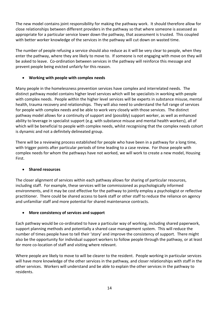The new model contains joint responsibility for making the pathway work. It should therefore allow for close relationships between different providers in the pathway so that where someone is assessed as appropriate for a particular service lower down the pathway, that assessment is trusted. This coupled with better worker knowledge of the services in the pathway will cut down on wasted time.

The number of people refusing a service should also reduce as it will be very clear to people, when they enter the pathway, where they are likely to move to. If someone is not engaging with move on they will be asked to leave. Co-ordination between services in the pathway will reinforce this message and prevent people being evicted unfairly for this reason.

#### **Working with people with complex needs**

Many people in the homelessness prevention services have complex and interrelated needs. The distinct pathway model contains higher level services which will be specialists in working with people with complex needs. People within the higher level services will be experts in substance misuse, mental health, trauma recovery and relationships. They will also need to understand the full range of services for people with complex needs and be able to work very closely with those services. The distinct pathway model allows for a continuity of support and (possibly) support worker, as well as enhanced ability to leverage in specialist support (e.g. with substance misuse and mental health workers), all of which will be beneficial to people with complex needs, whilst recognising that the complex needs cohort is dynamic and not a definitely delineated group.

There will be a reviewing process established for people who have been in a pathway for a long time, with trigger points after particular periods of time leading to a case review. For those people with complex needs for whom the pathways have not worked, we will work to create a new model, Housing First.

#### **Shared resources**

The closer alignment of services within each pathway allows for sharing of particular resources, including staff. For example, these services will be commissioned as psychologically informed environments, and it may be cost effective for the pathway to jointly employ a psychologist or reflective practitioner. There could be shared access to bank staff or other staff to reduce the reliance on agency and unfamiliar staff and more potential for shared maintenance contracts.

#### **More consistency of services and support**

Each pathway would be co-ordinated to have a particular way of working, including shared paperwork, support planning methods and potentially a shared case management system. This will reduce the number of times people have to tell their 'story' and improve the consistency of support. There might also be the opportunity for individual support workers to follow people through the pathway, or at least for more co-location of staff and visiting where relevant.

Where people are likely to move to will be clearer to the resident. People working in particular services will have more knowledge of the other services in the pathway, and closer relationships with staff in the other services. Workers will understand and be able to explain the other services in the pathway to residents.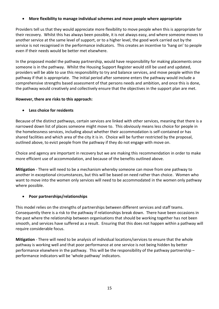#### **More flexibility to manage individual schemes and move people where appropriate**

Providers tell us that they would appreciate more flexibility to move people when this is appropriate for their recovery. Whilst this has always been possible, it is not always easy, and where someone moves to another service at the same level of support, or to a higher level, the good work carried out by the service is not recognised in the performance indicators. This creates an incentive to 'hang on' to people even if their needs would be better met elsewhere.

In the proposed model the pathway partnership, would have responsibility for making placements once someone is in the pathway. Whilst the Housing Support Register would still be used and updated, providers will be able to use this responsibility to try and balance services, and move people within the pathway if that is appropriate. The initial period after someone enters the pathway would include a comprehensive strengths based assessment of that persons needs and ambition, and once this is done, the pathway would creatively and collectively ensure that the objectives in the support plan are met.

#### **However, there are risks to this approach:**

#### **Less choice for residents**

Because of the distinct pathways, certain services are linked with other services, meaning that there is a narrowed down list of places someone might move to. This obviously means less choice for people in the homelessness services, including about whether their accommodation is self-contained or has shared facilities and which area of the city it is in. Choice will be further restricted by the proposal, outlined above, to evict people from the pathway if they do not engage with move on.

Choice and agency are important in recovery but we are making this recommendation in order to make more efficient use of accommodation, and because of the benefits outlined above.

**Mitigation** - There will need to be a mechanism whereby someone can move from one pathway to another in exceptional circumstances, but this will be based on need rather than choice. Women who want to move into the women only services will need to be accommodated in the women only pathway where possible.

#### **Poor partnerships/relationships**

This model relies on the strengths of partnerships between different services and staff teams. Consequently there is a risk to the pathway if relationships break down. There have been occasions in the past where the relationship between organisations that should be working together has not been smooth, and services have suffered as a result. Ensuring that this does not happen within a pathway will require considerable focus.

**Mitigation** - There will need to be analysis of individual locations/services to ensure that the whole pathway is working well and that poor performance at one service is not being hidden by better performance elsewhere in the pathway. This will be the responsibility of the pathway partnership – performance indicators will be 'whole pathway' indicators.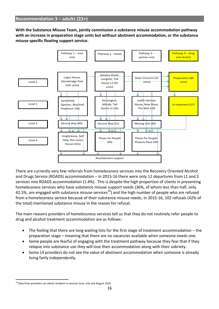<span id="page-15-0"></span>**With the Substance Misuse Team, jointly commission a substance misuse accommodation pathway with an increase in preparation stage units but without abstinent accommodation, or the substance misuse specific floating support service.**



There are currently very few referrals from homelessness services into the Recovery Oriented Alcohol and Drugs Service (ROADS) accommodation – in 2015-16 there were only 12 departures from L1 and 2 services into ROADS accommodation (1.4%). This is despite the high proportion of clients in preventing homelessness services who have substance misuse support needs (36%, of whom less than half, only 42.5%, are engaged with substance misuse services<sup>18</sup>) and the high number of people who are refused from a homelessness service because of their substance misuse needs; in 2015-16, 102 refusals (42% of the total) mentioned substance misuse in the reason for refusal.

The main reasons providers of homelessness services tell us that they do not routinely refer people to drug and alcohol treatment accommodation are as follows:

- The feeling that there are long waiting lists for the first stage of treatment accommodation the preparation stage – meaning that there are no vacancies available when someone needs one.
- Some people are fearful of engaging with the treatment pathway because they fear that if they relapse into substance use they will lose their accommodation along with their sobriety.
- Some L4 providers do not see the value of abstinent accommodation when someone is already living fairly independently.

 $\overline{a}$  $18$  Data from providers on clients resident in services June, July and August 2016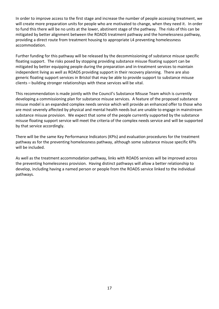In order to improve access to the first stage and increase the number of people accessing treatment, we will create more preparation units for people who are motivated to change, when they need it. In order to fund this there will be no units at the lower, abstinent stage of the pathway. The risks of this can be mitigated by better alignment between the ROADS treatment pathway and the homelessness pathway, providing a direct route from treatment housing to appropriate L4 preventing homelessness accommodation.

Further funding for this pathway will be released by the decommissioning of substance misuse specific floating support. The risks posed by stopping providing substance misuse floating support can be mitigated by better equipping people during the preparation and in-treatment services to maintain independent living as well as ROADS providing support in their recovery planning. There are also generic floating support services in Bristol that may be able to provide support to substance misuse clients – building stronger relationships with these services will be vital.

This recommendation is made jointly with the Council's Substance Misuse Team which is currently developing a commissioning plan for substance misuse services. A feature of the proposed substance misuse model is an expanded complex needs service which will provide an enhanced offer to those who are most severely affected by physical and mental health needs but are unable to engage in mainstream substance misuse provision. We expect that some of the people currently supported by the substance misuse floating support service will meet the criteria of the complex needs service and will be supported by that service accordingly.

There will be the same Key Performance Indicators (KPIs) and evaluation procedures for the treatment pathway as for the preventing homelessness pathway, although some substance misuse specific KPIs will be included.

As well as the treatment accommodation pathway, links with ROADS services will be improved across the preventing homelessness provision. Having distinct pathways will allow a better relationship to develop, including having a named person or people from the ROADS service linked to the individual pathways.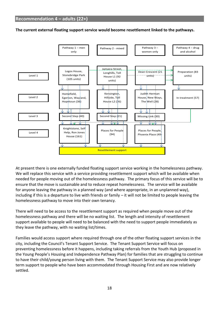<span id="page-17-0"></span>**The current external floating support service would become resettlement linked to the pathways.**



At present there is one externally funded floating support service working in the homelessness pathway. We will replace this service with a service providing resettlement support which will be available when needed for people moving out of the homelessness pathway. The primary focus of this service will be to ensure that the move is sustainable and to reduce repeat homelessness. The service will be available for anyone leaving the pathway in a planned way (and where appropriate, in an unplanned way), including if this is a departure to live with friends or family – it will not be limited to people leaving the homelessness pathway to move into their own tenancy.

There will need to be access to the resettlement support as required when people move out of the homelessness pathway and there will be no waiting list. The length and intensity of resettlement support available to people will need to be balanced with the need to support people immediately as they leave the pathway, with no waiting list/times.

Families would access support where required through one of the other floating support services in the city, including the Council's Tenant Support Service. The Tenant Support Service will focus on preventing homelessness before it happens, including taking referrals from the Youth Hub (proposed in the Young People's Housing and Independence Pathway Plan) for families that are struggling to continue to have their child/young person living with them. The Tenant Support Service may also provide longer term support to people who have been accommodated through Housing First and are now relatively settled.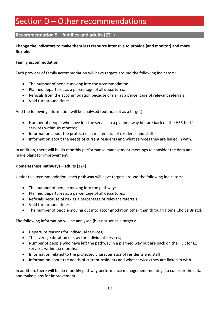### <span id="page-18-0"></span>Section D – Other recommendations

#### <span id="page-18-1"></span>**Recommendation 5 – families and adults (22+)**

#### **Change the indicators to make them less resource intensive to provide (and monitor) and more flexible.**

#### **Family accommodation**

Each provider of family accommodation will have targets around the following indicators:

- The number of people moving into the accommodation;
- Planned departures as a percentage of all departures;
- Refusals from the accommodation because of risk as a percentage of relevant referrals;
- Void turnaround times;

And the following information will be analysed (but not set as a target):

- Number of people who have left the service in a planned way but are back on the HSR for L1 services within six months;
- Information about the protected characteristics of residents and staff;
- Information about the needs of current residents and what services they are linked in with.

In addition, there will be six monthly performance management meetings to consider the data and make plans for improvement.

#### **Homelessness pathways – adults (22+)**

Under this recommendation, each **pathway** will have targets around the following indicators:

- The number of people moving into the pathway;
- Planned departures as a percentage of all departures;
- Refusals because of risk as a percentage of relevant referrals;
- Void turnaround times.
- The number of people moving out into accommodation other than through Home Choice Bristol.

The following information will be analysed (but not set as a target):

- Departure reasons for individual services;
- The average duration of stay for individual services;
- Number of people who have left the pathway in a planned way but are back on the HSR for L1 services within six months;
- Information related to the protected characteristics of residents and staff;
- Information about the needs of current residents and what services they are linked in with.

In addition, there will be six monthly pathway performance management meetings to consider the data and make plans for improvement.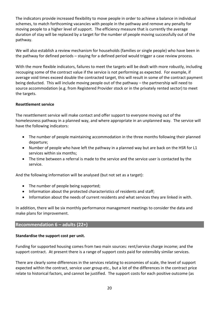The indicators provide increased flexibility to move people in order to achieve a balance in individual schemes, to match forthcoming vacancies with people in the pathway and remove any penalty for moving people to a higher level of support. The efficiency measure that is currently the average duration of stay will be replaced by a target for the number of people moving successfully out of the pathway.

We will also establish a review mechanism for households (families or single people) who have been in the pathway for defined periods – staying for a defined period would trigger a case review process.

With the more flexible indicators, failures to meet the targets will be dealt with more robustly, including recouping some of the contract value if the service is not performing as expected. For example, if average void times exceed double the contracted target, this will result in some of the contract payment being deducted. This will include moving people out of the pathway – the partnership will need to source accommodation (e.g. from Registered Provider stock or in the privately rented sector) to meet the targets.

#### **Resettlement service**

The resettlement service will make contact and offer support to everyone moving out of the homelessness pathway in a planned way, and where appropriate in an unplanned way. The service will have the following indicators:

- The number of people maintaining accommodation in the three months following their planned departure;
- Number of people who have left the pathway in a planned way but are back on the HSR for L1 services within six months;
- The time between a referral is made to the service and the service user is contacted by the service.

And the following information will be analysed (but not set as a target):

- The number of people being supported;
- Information about the protected characteristics of residents and staff;
- Information about the needs of current residents and what services they are linked in with.

In addition, there will be six monthly performance management meetings to consider the data and make plans for improvement.

#### <span id="page-19-0"></span>**Recommendation 6 – adults (22+)**

#### **Standardise the support cost per unit.**

Funding for supported housing comes from two main sources: rent/service charge income; and the support contract. At present there is a range of support costs paid for ostensibly similar services.

There are clearly some differences in the services relating to economies of scale, the level of support expected within the contract, service user group etc., but a lot of the differences in the contract price relate to historical factors, and cannot be justified. The support costs for each positive outcome (as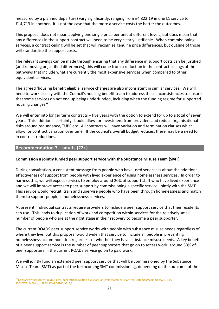measured by a planned departure) vary significantly, ranging from £4,822.19 in one L1 service to £14,713 in another. It is not the case that the more a service costs the better the outcomes.

This proposal does not mean applying one single price per unit at different levels, but does mean that any differences in the support contract will need to be very clearly justifiable. When commissioning services, a contract ceiling will be set that will recognise genuine price differences, but outside of those will standardise the support costs.

The relevant savings can be made through ensuring that any difference in support costs can be justified (and removing unjustified differences); this will come from a reduction in the contract ceilings of the pathways that include what are currently the most expensive services when compared to other equivalent services.

The agreed 'housing benefit eligible' service charges are also inconsistent in similar services. We will need to work closely with the Council's housing benefit team to address these inconsistencies to ensure that some services do not end up being underfunded, including when the funding regime for supported housing changes<sup>19</sup>.

We will enter into longer term contracts – five years with the option to extend for up to a total of seven years. This additional certainty should allow for investment from providers and reduce organisational risks around redundancy, TUPE etc. All contracts will have variation and termination clauses which allow for contract variation over time. If the council's overall budget reduces, there may be a need for in contract reductions.

#### <span id="page-20-0"></span>**Recommendation 7 – adults (22+)**

 $\overline{a}$ 

#### **Commission a jointly funded peer support service with the Substance Misuse Team (SMT)**

During consultation, a consistent message from people who have used services is about the additional effectiveness of support from people with lived experience of using homelessness services. In order to harness this, we will expect services to employ around 20% of support staff who have lived experience and we will improve access to peer support by commissioning a specific service, jointly with the SMT. This service would recruit, train and supervise people who have been through homelessness and match them to support people in homelessness services.

At present, individual contracts require providers to include a peer support service that their residents can use. This leads to duplication of work and competition within services for the relatively small number of people who are at the right stage in their recovery to become a peer supporter.

The current ROADS peer support service works with people with substance misuse needs regardless of where they live, but this proposal would widen that service to include all people in preventing homelessness accommodation regardless of whether they have substance misuse needs. A key benefit of a peer support service is the number of peer supporters that go on to access work; around 33% of peer supporters in the current ROADS service go on to paid work.

We will jointly fund an extended peer support service that will be commissioned by the Substance Misuse Team (SMT) as part of the forthcoming SMT commissioning, depending on the outcome of the

<sup>19</sup> [http://www.parliament.uk/business/publications/written-questions-answers-statements/written-statement/Commons/2016-09-](http://www.parliament.uk/business/publications/written-questions-answers-statements/written-statement/Commons/2016-09-15/HCWS154/?dm_i=3R33,36VG,O8B1S,9F14,1) [15/HCWS154/?dm\\_i=3R33,36VG,O8B1S,9F14,1](http://www.parliament.uk/business/publications/written-questions-answers-statements/written-statement/Commons/2016-09-15/HCWS154/?dm_i=3R33,36VG,O8B1S,9F14,1)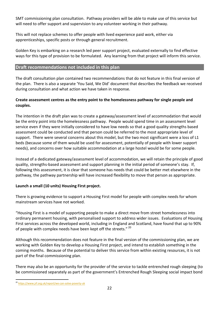SMT commissioning plan consultation. Pathway providers will be able to make use of this service but will need to offer support and supervision to any volunteer working in their pathway.

This will not replace schemes to offer people with lived experience paid work, either via apprenticeships, specific posts or through general recruitment.

Golden Key is embarking on a research led peer support project, evaluated externally to find effective ways for this type of provision to be formulated. Any learning from that project will inform this service.

#### <span id="page-21-0"></span>**Draft recommendations not included in this plan**

The draft consultation plan contained two recommendations that do not feature in this final version of the plan. There is also a separate 'You Said, We Did' document that describes the feedback we received during consultation and what action we have taken in response.

#### **Create assessment centres as the entry point to the homelessness pathway for single people and couples.**

The intention in the draft plan was to create a gateway/assessment level of accommodation that would be the entry point into the homelessness pathway. People would spend time in an assessment level service even if they were initially considered to have low needs so that a good quality strengths based assessment could be conducted and that person could be referred to the most appropriate level of support. There were several concerns about this model, but the two most significant were a loss of L1 beds (because some of them would be used for assessment, potentially of people with lower support needs), and concerns over how suitable accommodation at a large hostel would be for some people.

Instead of a dedicated gateway/assessment level of accommodation, we will retain the principle of good quality, strengths-based assessment and support planning in the initial period of someone's stay. If, following this assessment, it is clear that someone has needs that could be better met elsewhere in the pathway, the pathway partnership will have increased flexibility to move that person as appropriate.

#### **Launch a small (10 units) Housing First project.**

There is growing evidence to support a Housing First model for people with complex needs for whom mainstream services have not worked.

"Housing First is a model of supporting people to make a direct move from street homelessness into ordinary permanent housing, with personalised support to address wider issues. Evaluations of Housing First services across the developed world, including in England and Scotland, have found that up to 90% of people with complex needs have been kept off the streets."<sup>20</sup>

Although this recommendation does not feature in the final version of the commissioning plan, we are working with Golden Key to develop a Housing First project, and intend to establish something in the coming months. Because of the potential to deliver this service from within existing resources, it is not part of the final commissioning plan.

There may also be an opportunity for the provider of the service to tackle entrenched rough sleeping (to be commissioned separately as part of the government's Entrenched Rough Sleeping social impact bond

 $\overline{a}$ <sup>20</sup> <https://www.jrf.org.uk/report/we-can-solve-poverty-uk>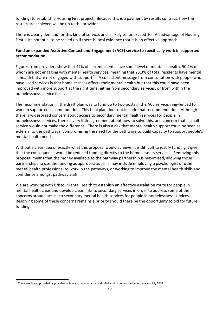funding) to establish a Housing First project. Because this is a payment by results contract, how the results are achieved will be up to the provider.

There is clearly demand for this kind of service, and is likely to far exceed 10. An advantage of Housing First is its potential to be scaled up if there is local evidence that it is an effective approach.

#### **Fund an expanded Assertive Contact and Engagement (ACE) service to specifically work in supported accommodation.**

Figures from providers show that 47% of current clients have some level of mental ill health, 50.1% of whom are not engaging with mental health services, meaning that 23.3% of total residents have mental ill health but are not engaged with support<sup>21</sup>. A consistent message from consultation with people who have used services is that homelessness affects their mental health but that this could have been improved with more support at the right time, either from secondary services, or from within the homelessness service itself.

The recommendation in the draft plan was to fund up to two posts in the ACE service, ring-fenced to work in supported accommodation. This final plan does not include that recommendation. Although there is widespread concern about access to secondary mental health services for people in homelessness services, there is very little agreement about how to solve this, and concern that a small service would not make the difference. There is also a risk that mental health support could be seen as external to the pathways, compromising the need for the pathways to build capacity to support people's mental health needs.

Without a clear idea of exactly what this proposal would achieve, it is difficult to justify funding it given that the consequence would be reduced funding directly to the homelessness services. Removing this proposal means that the money available to the pathway partnership is maximised, allowing those partnerships to use the funding as appropriate. This may include employing a psychologist or other mental health professional to work in the pathways, or working to improve the mental health skills and confidence amongst pathway staff.

We are working with Bristol Mental Health to establish an effective escalation route for people in mental health crisis and develop clear links to secondary services in order to address some of the concerns around access to secondary mental health services for people in homelessness services. Resolving some of these concerns remains a priority should there be the opportunity to bid for future funding.

 $\overline{a}$  $21$  These are figures provided by providers of family accommodation and Ls1-4 adult accommodation for June and July 2016.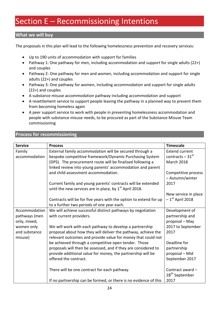# <span id="page-23-0"></span>Section E – Recommissioning Intentions

#### **What we will buy**

The proposals in this plan will lead to the following homelessness prevention and recovery services:

- Up to 190 units of accommodation with support for families
- Pathway 1: One pathway for men, including accommodation and support for single adults (22+) and couples
- Pathway 2: One pathway for men and women, including accommodation and support for single adults (22+) and couples
- Pathway 3: One pathway for women, including accommodation and support for single adults (22+) and couples
- A substance misuse accommodation pathway including accommodation and support
- A resettlement service to support people leaving the pathway in a planned way to prevent them from becoming homeless again
- A peer support service to work with people in preventing homelessness accommodation and people with substance misuse needs, to be procured as part of the Substance Misuse Team commissioning

#### **Process for recommissioning**

| <b>Service</b> | <b>Process</b>                                                      | <b>Timescale</b>              |
|----------------|---------------------------------------------------------------------|-------------------------------|
|                |                                                                     |                               |
| Family         | External family accommodation will be secured through a             | <b>Extend current</b>         |
| accommodation  | bespoke competitive framework/Dynamic Purchasing System             | contracts $-31$ <sup>st</sup> |
|                | (DPS). The procurement route will be finalised following a          | March 2018                    |
|                | linked review into young parents' accommodation and parent          |                               |
|                | and child assessment accommodation.                                 | Competitive process           |
|                |                                                                     | - Autumn/winter               |
|                | Current family and young parents' contracts will be extended        | 2017                          |
|                | until the new services are in place, by 1 <sup>st</sup> April 2018. |                               |
|                |                                                                     | New service in place          |
|                | Contracts will be for five years with the option to extend for up   | $-1st$ April 2018             |
|                | to a further two periods of one year each.                          |                               |
| Accommodation  | We will achieve successful distinct pathways by negotiation         | Development of                |
| pathways (men  | with current providers.                                             | partnership and               |
| only, mixed,   |                                                                     | proposal - May                |
| women only     | We will work with each pathway to develop a partnership             | 2017 to September             |
| and substance  | proposal about how they will deliver the pathway, achieve the       | 2017                          |
| misuse)        | relevant outcomes and provide value for money that could not        |                               |
|                | be achieved through a competitive open tender. Those                | Deadline for                  |
|                | proposals will then be assessed, and if they are considered to      | partnership                   |
|                | provide additional value for money, the partnership will be         | proposal - Mid                |
|                | offered the contract.                                               | September 2017                |
|                |                                                                     |                               |
|                | There will be one contract for each pathway.                        | Contract award -              |
|                |                                                                     | 28 <sup>th</sup> September    |
|                | If no partnership can be formed, or there is no evidence of this    | 2017                          |